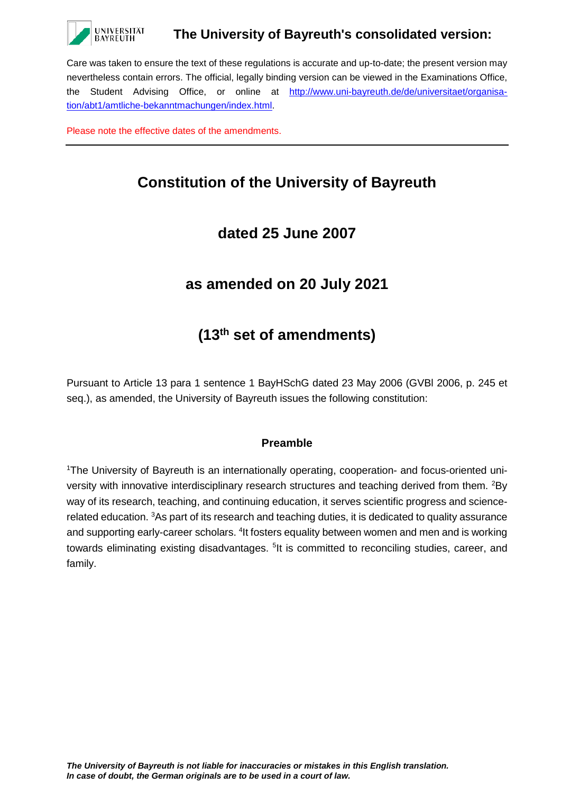

## **The University of Bayreuth's consolidated version:**

Care was taken to ensure the text of these regulations is accurate and up-to-date; the present version may nevertheless contain errors. The official, legally binding version can be viewed in the Examinations Office, the Student Advising Office, or online at [http://www.uni-bayreuth.de/de/universitaet/organisa](http://www.uni-bayreuth.de/de/universitaet/organisation/abt1/amtliche-bekanntmachungen/index.html)[tion/abt1/amtliche-bekanntmachungen/index.html.](http://www.uni-bayreuth.de/de/universitaet/organisation/abt1/amtliche-bekanntmachungen/index.html)

Please note the effective dates of the amendments.

# **Constitution of the University of Bayreuth**

# **dated 25 June 2007**

# **as amended on 20 July 2021**

# **(13th set of amendments)**

Pursuant to Article 13 para 1 sentence 1 BayHSchG dated 23 May 2006 (GVBl 2006, p. 245 et seq.), as amended, the University of Bayreuth issues the following constitution:

#### **Preamble**

<sup>1</sup>The University of Bayreuth is an internationally operating, cooperation- and focus-oriented university with innovative interdisciplinary research structures and teaching derived from them. <sup>2</sup>By way of its research, teaching, and continuing education, it serves scientific progress and sciencerelated education. <sup>3</sup>As part of its research and teaching duties, it is dedicated to quality assurance and supporting early-career scholars. <sup>4</sup>It fosters equality between women and men and is working towards eliminating existing disadvantages. <sup>5</sup>lt is committed to reconciling studies, career, and family.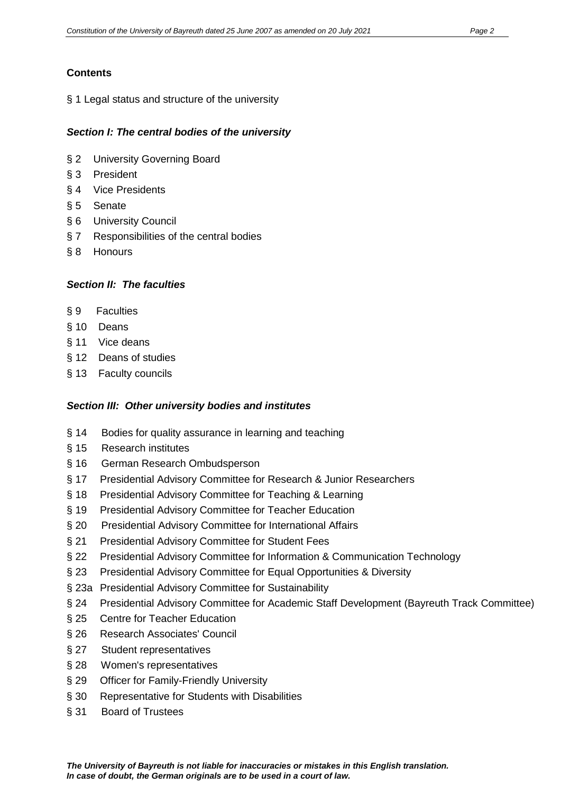## **Contents**

§ 1 Legal status and structure of the university

#### *Section I: The central bodies of the university*

- § 2 University Governing Board
- § 3 President
- § 4 Vice Presidents
- § 5 Senate
- § 6 University Council
- § 7 Responsibilities of the central bodies
- § 8 Honours

#### *Section II: The faculties*

- § 9 Faculties
- § 10 Deans
- § 11 Vice deans
- § 12 Deans of studies
- § 13 Faculty councils

## *Section III: Other university bodies and institutes*

- § 14 Bodies for quality assurance in learning and teaching
- § 15 Research institutes
- § 16 German Research Ombudsperson
- § 17 Presidential Advisory Committee for Research & Junior Researchers
- § 18 Presidential Advisory Committee for Teaching & Learning
- § 19 Presidential Advisory Committee for Teacher Education
- § 20 Presidential Advisory Committee for International Affairs
- § 21 Presidential Advisory Committee for Student Fees
- § 22 Presidential Advisory Committee for Information & Communication Technology
- § 23 Presidential Advisory Committee for Equal Opportunities & Diversity
- § 23a Presidential Advisory Committee for Sustainability
- § 24 Presidential Advisory Committee for Academic Staff Development (Bayreuth Track Committee)
- § 25 Centre for Teacher Education
- § 26 Research Associates' Council
- § 27 Student representatives
- § 28 Women's representatives
- § 29 Officer for Family-Friendly University
- § 30 Representative for Students with Disabilities
- § 31 Board of Trustees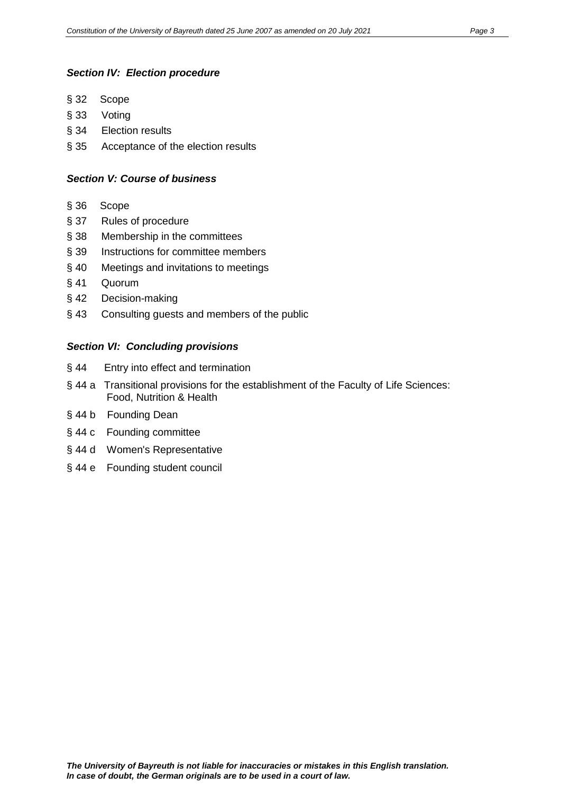#### *Section IV: Election procedure*

- § 32 Scope
- § 33 Voting
- § 34 Election results
- § 35 Acceptance of the election results

#### *Section V: Course of business*

- § 36 Scope
- § 37 Rules of procedure
- § 38 Membership in the committees
- § 39 Instructions for committee members
- § 40 Meetings and invitations to meetings
- § 41 Quorum
- § 42 Decision-making
- § 43 Consulting guests and members of the public

#### *Section VI: Concluding provisions*

- § 44 Entry into effect and termination
- § 44 a Transitional provisions for the establishment of the Faculty of Life Sciences: Food, Nutrition & Health
- § 44 b Founding Dean
- § 44 c Founding committee
- § 44 d Women's Representative
- § 44 e Founding student council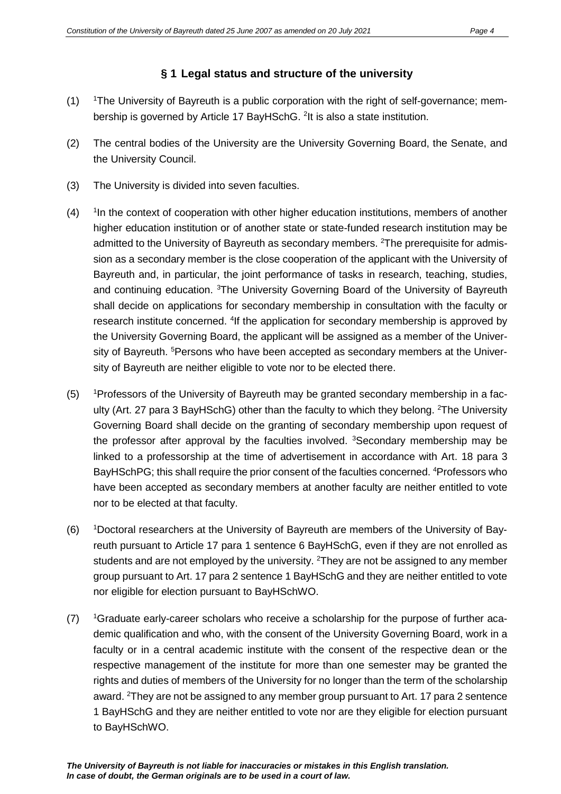#### **§ 1 Legal status and structure of the university**

- $(1)$ The University of Bayreuth is a public corporation with the right of self-governance; membership is governed by Article 17 BayHSchG. <sup>2</sup>It is also a state institution.
- (2) The central bodies of the University are the University Governing Board, the Senate, and the University Council.
- (3) The University is divided into seven faculties.
- $(4)$ <sup>1</sup>In the context of cooperation with other higher education institutions, members of another higher education institution or of another state or state-funded research institution may be admitted to the University of Bayreuth as secondary members. <sup>2</sup>The prerequisite for admission as a secondary member is the close cooperation of the applicant with the University of Bayreuth and, in particular, the joint performance of tasks in research, teaching, studies, and continuing education. <sup>3</sup>The University Governing Board of the University of Bayreuth shall decide on applications for secondary membership in consultation with the faculty or research institute concerned. <sup>4</sup>If the application for secondary membership is approved by the University Governing Board, the applicant will be assigned as a member of the University of Bayreuth. <sup>5</sup>Persons who have been accepted as secondary members at the University of Bayreuth are neither eligible to vote nor to be elected there.
- $(5)$ Professors of the University of Bayreuth may be granted secondary membership in a faculty (Art. 27 para 3 BayHSchG) other than the faculty to which they belong. <sup>2</sup>The University Governing Board shall decide on the granting of secondary membership upon request of the professor after approval by the faculties involved. <sup>3</sup>Secondary membership may be linked to a professorship at the time of advertisement in accordance with Art. 18 para 3 BayHSchPG; this shall require the prior consent of the faculties concerned. <sup>4</sup>Professors who have been accepted as secondary members at another faculty are neither entitled to vote nor to be elected at that faculty.
- $(6)$ Doctoral researchers at the University of Bayreuth are members of the University of Bayreuth pursuant to Article 17 para 1 sentence 6 BayHSchG, even if they are not enrolled as students and are not employed by the university. <sup>2</sup>They are not be assigned to any member group pursuant to Art. 17 para 2 sentence 1 BayHSchG and they are neither entitled to vote nor eligible for election pursuant to BayHSchWO.
- $(7)$ Graduate early-career scholars who receive a scholarship for the purpose of further academic qualification and who, with the consent of the University Governing Board, work in a faculty or in a central academic institute with the consent of the respective dean or the respective management of the institute for more than one semester may be granted the rights and duties of members of the University for no longer than the term of the scholarship award. <sup>2</sup>They are not be assigned to any member group pursuant to Art. 17 para 2 sentence 1 BayHSchG and they are neither entitled to vote nor are they eligible for election pursuant to BayHSchWO.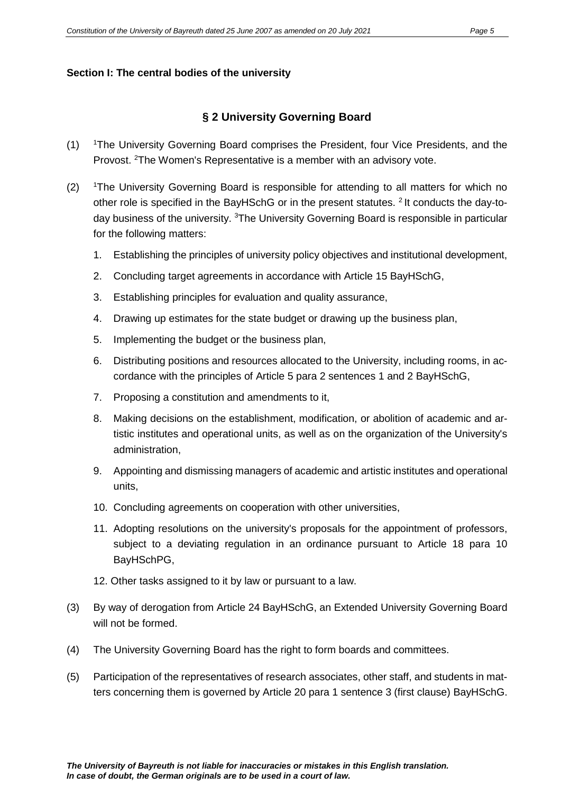#### **Section I: The central bodies of the university**

#### **§ 2 University Governing Board**

- $(1)$ The University Governing Board comprises the President, four Vice Presidents, and the Provost. <sup>2</sup>The Women's Representative is a member with an advisory vote.
- $(2)$ The University Governing Board is responsible for attending to all matters for which no other role is specified in the BayHSchG or in the present statutes. 2 It conducts the day-today business of the university. <sup>3</sup>The University Governing Board is responsible in particular for the following matters:
	- 1. Establishing the principles of university policy objectives and institutional development,
	- 2. Concluding target agreements in accordance with Article 15 BayHSchG,
	- 3. Establishing principles for evaluation and quality assurance,
	- 4. Drawing up estimates for the state budget or drawing up the business plan,
	- 5. Implementing the budget or the business plan,
	- 6. Distributing positions and resources allocated to the University, including rooms, in accordance with the principles of Article 5 para 2 sentences 1 and 2 BayHSchG,
	- 7. Proposing a constitution and amendments to it,
	- 8. Making decisions on the establishment, modification, or abolition of academic and artistic institutes and operational units, as well as on the organization of the University's administration,
	- 9. Appointing and dismissing managers of academic and artistic institutes and operational units,
	- 10. Concluding agreements on cooperation with other universities,
	- 11. Adopting resolutions on the university's proposals for the appointment of professors, subject to a deviating regulation in an ordinance pursuant to Article 18 para 10 BayHSchPG,
	- 12. Other tasks assigned to it by law or pursuant to a law.
- (3) By way of derogation from Article 24 BayHSchG, an Extended University Governing Board will not be formed.
- (4) The University Governing Board has the right to form boards and committees.
- (5) Participation of the representatives of research associates, other staff, and students in matters concerning them is governed by Article 20 para 1 sentence 3 (first clause) BayHSchG.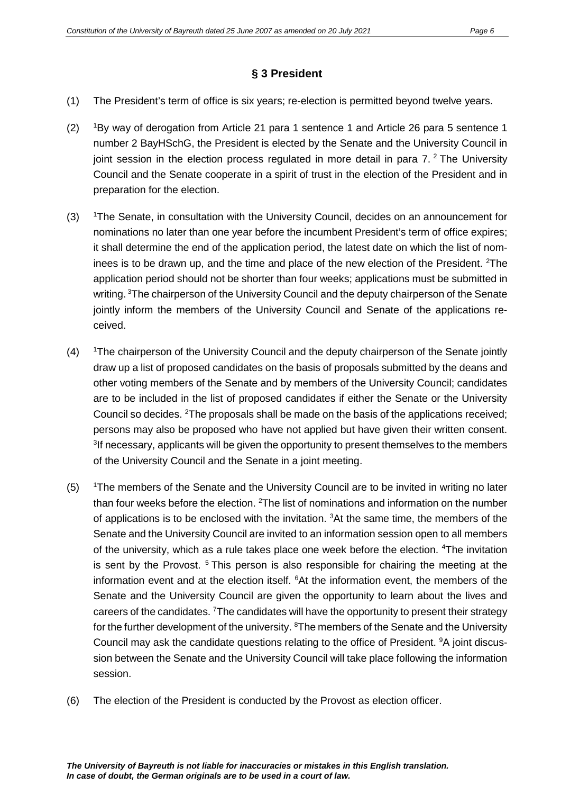#### **§ 3 President**

- (1) The President's term of office is six years; re-election is permitted beyond twelve years.
- $(2)$ By way of derogation from Article 21 para 1 sentence 1 and Article 26 para 5 sentence 1 number 2 BayHSchG, the President is elected by the Senate and the University Council in joint session in the election process regulated in more detail in para  $7<sup>2</sup>$ . The University Council and the Senate cooperate in a spirit of trust in the election of the President and in preparation for the election.
- $(3)$ <sup>1</sup>The Senate, in consultation with the University Council, decides on an announcement for nominations no later than one year before the incumbent President's term of office expires; it shall determine the end of the application period, the latest date on which the list of nominees is to be drawn up, and the time and place of the new election of the President. <sup>2</sup>The application period should not be shorter than four weeks; applications must be submitted in writing. <sup>3</sup>The chairperson of the University Council and the deputy chairperson of the Senate jointly inform the members of the University Council and Senate of the applications received.
- $(4)$ The chairperson of the University Council and the deputy chairperson of the Senate jointly draw up a list of proposed candidates on the basis of proposals submitted by the deans and other voting members of the Senate and by members of the University Council; candidates are to be included in the list of proposed candidates if either the Senate or the University Council so decides. <sup>2</sup>The proposals shall be made on the basis of the applications received; persons may also be proposed who have not applied but have given their written consent. <sup>3</sup>If necessary, applicants will be given the opportunity to present themselves to the members of the University Council and the Senate in a joint meeting.
- $(5)$ <sup>1</sup>The members of the Senate and the University Council are to be invited in writing no later than four weeks before the election. <sup>2</sup>The list of nominations and information on the number of applications is to be enclosed with the invitation.  ${}^{3}$ At the same time, the members of the Senate and the University Council are invited to an information session open to all members of the university, which as a rule takes place one week before the election. <sup>4</sup>The invitation is sent by the Provost.<sup>5</sup> This person is also responsible for chairing the meeting at the information event and at the election itself. <sup>6</sup>At the information event, the members of the Senate and the University Council are given the opportunity to learn about the lives and careers of the candidates. <sup>7</sup>The candidates will have the opportunity to present their strategy for the further development of the university. <sup>8</sup>The members of the Senate and the University Council may ask the candidate questions relating to the office of President. <sup>9</sup>A joint discussion between the Senate and the University Council will take place following the information session.
- (6) The election of the President is conducted by the Provost as election officer.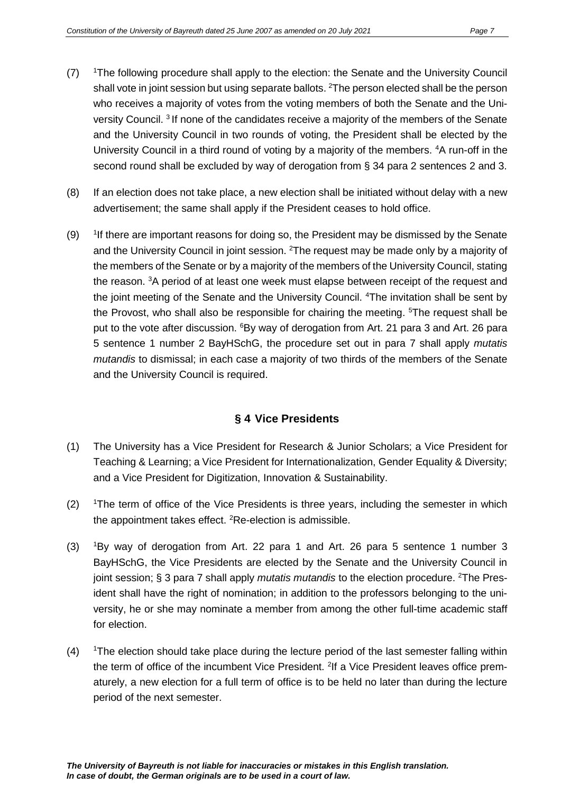- $(7)$ <sup>1</sup>The following procedure shall apply to the election: the Senate and the University Council shall vote in joint session but using separate ballots.  $^{2}$ The person elected shall be the person who receives a majority of votes from the voting members of both the Senate and the University Council. 3 If none of the candidates receive a majority of the members of the Senate and the University Council in two rounds of voting, the President shall be elected by the University Council in a third round of voting by a majority of the members. <sup>4</sup>A run-off in the second round shall be excluded by way of derogation from § 34 para 2 sentences 2 and 3.
- (8) If an election does not take place, a new election shall be initiated without delay with a new advertisement; the same shall apply if the President ceases to hold office.
- $(9)$ If there are important reasons for doing so, the President may be dismissed by the Senate and the University Council in joint session. <sup>2</sup>The request may be made only by a majority of the members of the Senate or by a majority of the members of the University Council, stating the reason. <sup>3</sup>A period of at least one week must elapse between receipt of the request and the joint meeting of the Senate and the University Council. <sup>4</sup>The invitation shall be sent by the Provost, who shall also be responsible for chairing the meeting. <sup>5</sup>The request shall be put to the vote after discussion. <sup>6</sup>By way of derogation from Art. 21 para 3 and Art. 26 para 5 sentence 1 number 2 BayHSchG, the procedure set out in para 7 shall apply *mutatis mutandis* to dismissal; in each case a majority of two thirds of the members of the Senate and the University Council is required.

## **§ 4 Vice Presidents**

- (1) The University has a Vice President for Research & Junior Scholars; a Vice President for Teaching & Learning; a Vice President for Internationalization, Gender Equality & Diversity; and a Vice President for Digitization, Innovation & Sustainability.
- $(2)$ The term of office of the Vice Presidents is three years, including the semester in which the appointment takes effect. <sup>2</sup>Re-election is admissible.
- $(3)$ By way of derogation from Art. 22 para 1 and Art. 26 para 5 sentence 1 number 3 BayHSchG, the Vice Presidents are elected by the Senate and the University Council in joint session; § 3 para 7 shall apply *mutatis mutandis* to the election procedure. <sup>2</sup>The President shall have the right of nomination; in addition to the professors belonging to the university, he or she may nominate a member from among the other full-time academic staff for election.
- $(4)$ The election should take place during the lecture period of the last semester falling within the term of office of the incumbent Vice President. <sup>2</sup>If a Vice President leaves office prematurely, a new election for a full term of office is to be held no later than during the lecture period of the next semester.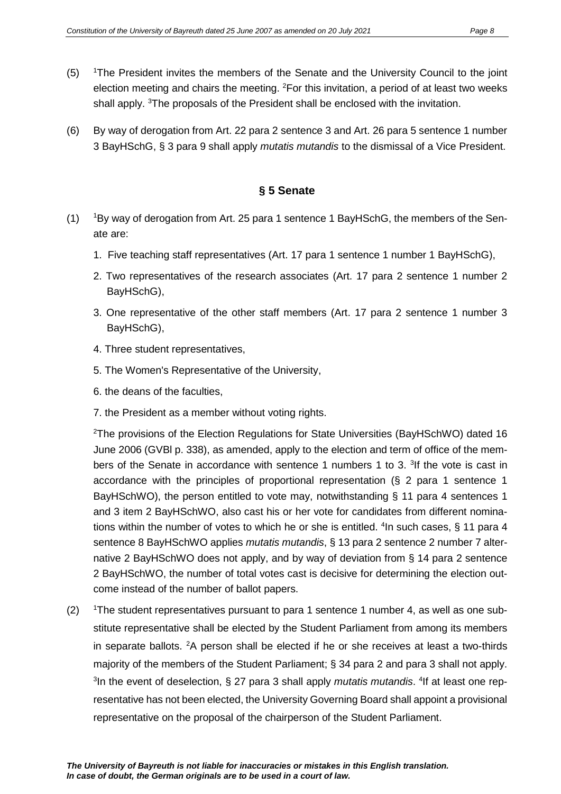- $(5)$ <sup>1</sup>The President invites the members of the Senate and the University Council to the joint election meeting and chairs the meeting. <sup>2</sup>For this invitation, a period of at least two weeks shall apply. <sup>3</sup>The proposals of the President shall be enclosed with the invitation.
- (6) By way of derogation from Art. 22 para 2 sentence 3 and Art. 26 para 5 sentence 1 number 3 BayHSchG, § 3 para 9 shall apply *mutatis mutandis* to the dismissal of a Vice President.

## **§ 5 Senate**

- $(1)$ <sup>1</sup>By way of derogation from Art. 25 para 1 sentence 1 BayHSchG, the members of the Senate are:
	- 1. Five teaching staff representatives (Art. 17 para 1 sentence 1 number 1 BayHSchG),
	- 2. Two representatives of the research associates (Art. 17 para 2 sentence 1 number 2 BayHSchG),
	- 3. One representative of the other staff members (Art. 17 para 2 sentence 1 number 3 BayHSchG),
	- 4. Three student representatives,
	- 5. The Women's Representative of the University,
	- 6. the deans of the faculties,
	- 7. the President as a member without voting rights.

<sup>2</sup>The provisions of the Election Regulations for State Universities (BayHSchWO) dated 16 June 2006 (GVBl p. 338), as amended, apply to the election and term of office of the members of the Senate in accordance with sentence 1 numbers 1 to 3. <sup>3</sup>If the vote is cast in accordance with the principles of proportional representation (§ 2 para 1 sentence 1 BayHSchWO), the person entitled to vote may, notwithstanding § 11 para 4 sentences 1 and 3 item 2 BayHSchWO, also cast his or her vote for candidates from different nominations within the number of votes to which he or she is entitled. <sup>4</sup>In such cases, § 11 para 4 sentence 8 BayHSchWO applies *mutatis mutandis*, § 13 para 2 sentence 2 number 7 alternative 2 BayHSchWO does not apply, and by way of deviation from § 14 para 2 sentence 2 BayHSchWO, the number of total votes cast is decisive for determining the election outcome instead of the number of ballot papers.

 $(2)$ The student representatives pursuant to para 1 sentence 1 number 4, as well as one substitute representative shall be elected by the Student Parliament from among its members in separate ballots.  $2A$  person shall be elected if he or she receives at least a two-thirds majority of the members of the Student Parliament; § 34 para 2 and para 3 shall not apply. <sup>3</sup>In the event of deselection, § 27 para 3 shall apply *mutatis mutandis*. <sup>4</sup>If at least one representative has not been elected, the University Governing Board shall appoint a provisional representative on the proposal of the chairperson of the Student Parliament.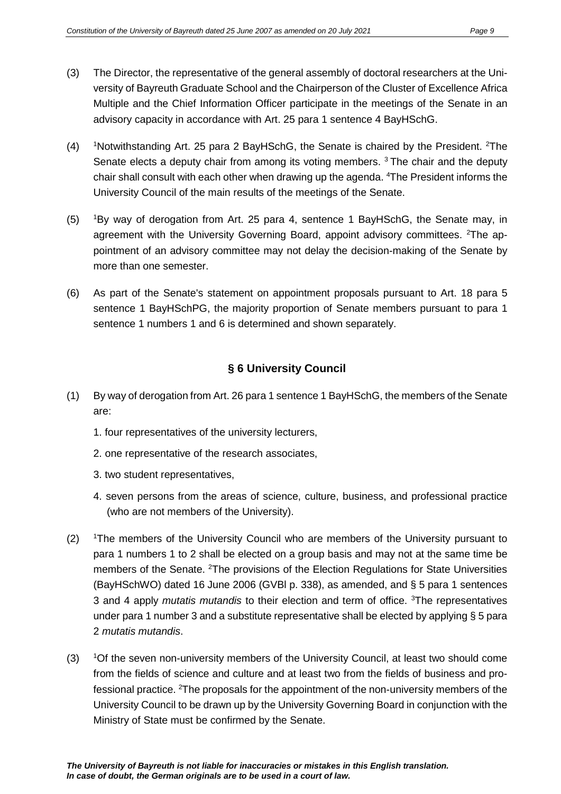- (3) The Director, the representative of the general assembly of doctoral researchers at the University of Bayreuth Graduate School and the Chairperson of the Cluster of Excellence Africa Multiple and the Chief Information Officer participate in the meetings of the Senate in an advisory capacity in accordance with Art. 25 para 1 sentence 4 BayHSchG.
- $(4)$ Notwithstanding Art. 25 para 2 BayHSchG, the Senate is chaired by the President. <sup>2</sup>The Senate elects a deputy chair from among its voting members.  $3$  The chair and the deputy chair shall consult with each other when drawing up the agenda. <sup>4</sup>The President informs the University Council of the main results of the meetings of the Senate.
- $(5)$ By way of derogation from Art. 25 para 4, sentence 1 BayHSchG, the Senate may, in agreement with the University Governing Board, appoint advisory committees. <sup>2</sup>The appointment of an advisory committee may not delay the decision-making of the Senate by more than one semester.
- (6) As part of the Senate's statement on appointment proposals pursuant to Art. 18 para 5 sentence 1 BayHSchPG, the majority proportion of Senate members pursuant to para 1 sentence 1 numbers 1 and 6 is determined and shown separately.

## **§ 6 University Council**

- (1) By way of derogation from Art. 26 para 1 sentence 1 BayHSchG, the members of the Senate are:
	- 1. four representatives of the university lecturers,
	- 2. one representative of the research associates,
	- 3. two student representatives,
	- 4. seven persons from the areas of science, culture, business, and professional practice (who are not members of the University).
- $(2)$ <sup>1</sup>The members of the University Council who are members of the University pursuant to para 1 numbers 1 to 2 shall be elected on a group basis and may not at the same time be members of the Senate. <sup>2</sup>The provisions of the Election Regulations for State Universities (BayHSchWO) dated 16 June 2006 (GVBl p. 338), as amended, and § 5 para 1 sentences 3 and 4 apply *mutatis mutandis* to their election and term of office. <sup>3</sup> The representatives under para 1 number 3 and a substitute representative shall be elected by applying § 5 para 2 *mutatis mutandis*.
- $(3)$ Of the seven non-university members of the University Council, at least two should come from the fields of science and culture and at least two from the fields of business and professional practice. <sup>2</sup>The proposals for the appointment of the non-university members of the University Council to be drawn up by the University Governing Board in conjunction with the Ministry of State must be confirmed by the Senate.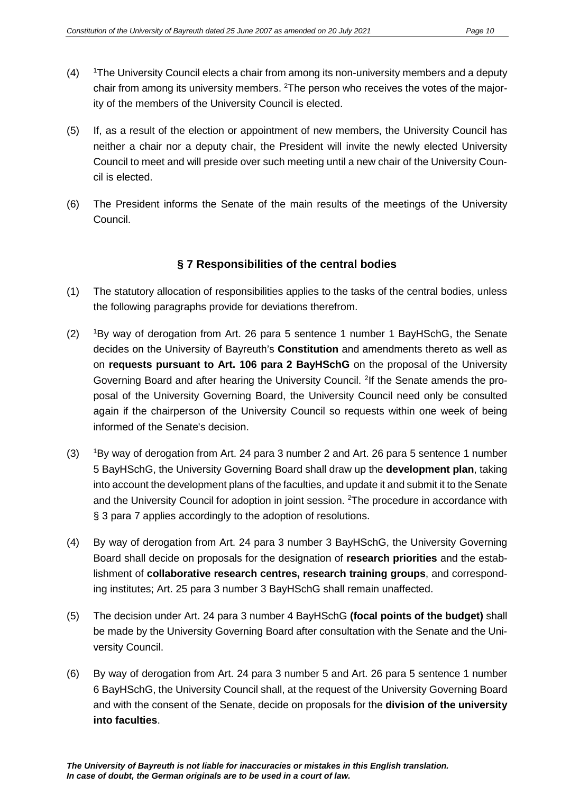- $(4)$ <sup>1</sup>The University Council elects a chair from among its non-university members and a deputy chair from among its university members. <sup>2</sup>The person who receives the votes of the majority of the members of the University Council is elected.
- (5) If, as a result of the election or appointment of new members, the University Council has neither a chair nor a deputy chair, the President will invite the newly elected University Council to meet and will preside over such meeting until a new chair of the University Council is elected.
- (6) The President informs the Senate of the main results of the meetings of the University Council.

## **§ 7 Responsibilities of the central bodies**

- (1) The statutory allocation of responsibilities applies to the tasks of the central bodies, unless the following paragraphs provide for deviations therefrom.
- $(2)$ By way of derogation from Art. 26 para 5 sentence 1 number 1 BayHSchG, the Senate decides on the University of Bayreuth's **Constitution** and amendments thereto as well as on **requests pursuant to Art. 106 para 2 BayHSchG** on the proposal of the University Governing Board and after hearing the University Council. <sup>2</sup>If the Senate amends the proposal of the University Governing Board, the University Council need only be consulted again if the chairperson of the University Council so requests within one week of being informed of the Senate's decision.
- $(3)$ <sup>1</sup>By way of derogation from Art. 24 para 3 number 2 and Art. 26 para 5 sentence 1 number 5 BayHSchG, the University Governing Board shall draw up the **development plan**, taking into account the development plans of the faculties, and update it and submit it to the Senate and the University Council for adoption in joint session. <sup>2</sup>The procedure in accordance with § 3 para 7 applies accordingly to the adoption of resolutions.
- (4) By way of derogation from Art. 24 para 3 number 3 BayHSchG, the University Governing Board shall decide on proposals for the designation of **research priorities** and the establishment of **collaborative research centres, research training groups**, and corresponding institutes; Art. 25 para 3 number 3 BayHSchG shall remain unaffected.
- (5) The decision under Art. 24 para 3 number 4 BayHSchG **(focal points of the budget)** shall be made by the University Governing Board after consultation with the Senate and the University Council.
- (6) By way of derogation from Art. 24 para 3 number 5 and Art. 26 para 5 sentence 1 number 6 BayHSchG, the University Council shall, at the request of the University Governing Board and with the consent of the Senate, decide on proposals for the **division of the university into faculties**.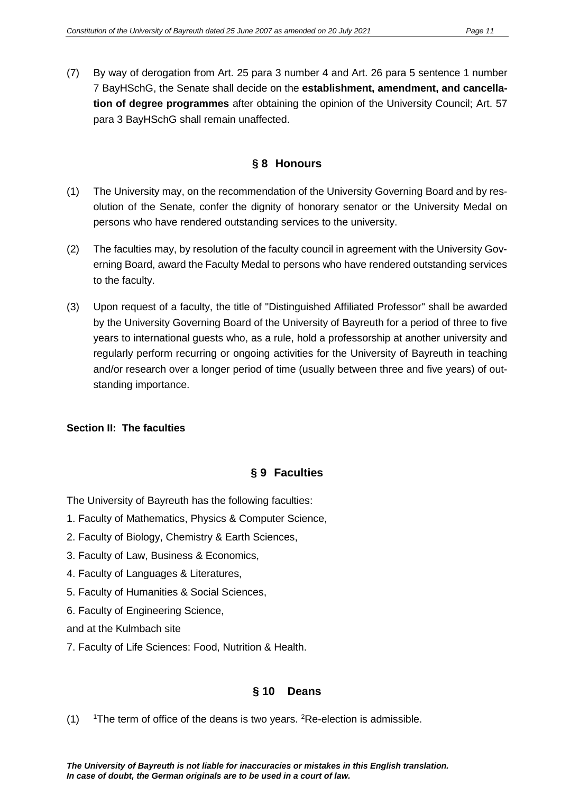(7) By way of derogation from Art. 25 para 3 number 4 and Art. 26 para 5 sentence 1 number 7 BayHSchG, the Senate shall decide on the **establishment, amendment, and cancellation of degree programmes** after obtaining the opinion of the University Council; Art. 57 para 3 BayHSchG shall remain unaffected.

## **§ 8 Honours**

- (1) The University may, on the recommendation of the University Governing Board and by resolution of the Senate, confer the dignity of honorary senator or the University Medal on persons who have rendered outstanding services to the university.
- (2) The faculties may, by resolution of the faculty council in agreement with the University Governing Board, award the Faculty Medal to persons who have rendered outstanding services to the faculty.
- (3) Upon request of a faculty, the title of "Distinguished Affiliated Professor" shall be awarded by the University Governing Board of the University of Bayreuth for a period of three to five years to international guests who, as a rule, hold a professorship at another university and regularly perform recurring or ongoing activities for the University of Bayreuth in teaching and/or research over a longer period of time (usually between three and five years) of outstanding importance.

## **Section II: The faculties**

## **§ 9 Faculties**

The University of Bayreuth has the following faculties:

- 1. Faculty of Mathematics, Physics & Computer Science,
- 2. Faculty of Biology, Chemistry & Earth Sciences,
- 3. Faculty of Law, Business & Economics,
- 4. Faculty of Languages & Literatures,
- 5. Faculty of Humanities & Social Sciences,
- 6. Faculty of Engineering Science,

and at the Kulmbach site

7. Faculty of Life Sciences: Food, Nutrition & Health.

## **§ 10 Deans**

 $(1)$ The term of office of the deans is two years. <sup>2</sup>Re-election is admissible.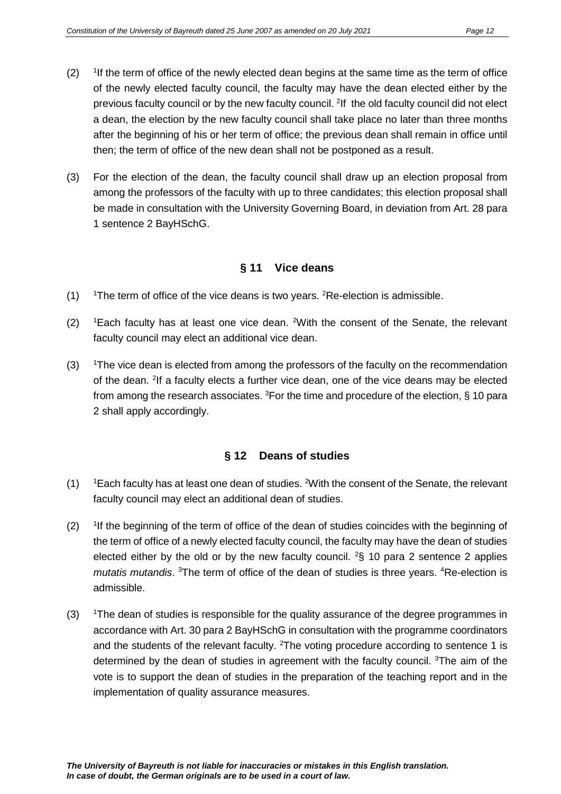- $(2)$ <sup>1</sup>If the term of office of the newly elected dean begins at the same time as the term of office of the newly elected faculty council, the faculty may have the dean elected either by the previous faculty council or by the new faculty council. <sup>2</sup>If the old faculty council did not elect a dean, the election by the new faculty council shall take place no later than three months after the beginning of his or her term of office; the previous dean shall remain in office until then; the term of office of the new dean shall not be postponed as a result.
- (3) For the election of the dean, the faculty council shall draw up an election proposal from among the professors of the faculty with up to three candidates; this election proposal shall be made in consultation with the University Governing Board, in deviation from Art. 28 para 1 sentence 2 BayHSchG.

## **§ 11 Vice deans**

- $(1)$ The term of office of the vice deans is two years.  ${}^{2}$ Re-election is admissible.
- $(2)$ Each faculty has at least one vice dean. <sup>2</sup>With the consent of the Senate, the relevant faculty council may elect an additional vice dean.
- $(3)$ The vice dean is elected from among the professors of the faculty on the recommendation of the dean. <sup>2</sup>If a faculty elects a further vice dean, one of the vice deans may be elected from among the research associates. <sup>3</sup>For the time and procedure of the election, § 10 para 2 shall apply accordingly.

## **§ 12 Deans of studies**

- $(1)$ Each faculty has at least one dean of studies. <sup>2</sup>With the consent of the Senate, the relevant faculty council may elect an additional dean of studies.
- $(2)$ <sup>1</sup>If the beginning of the term of office of the dean of studies coincides with the beginning of the term of office of a newly elected faculty council, the faculty may have the dean of studies elected either by the old or by the new faculty council.  $2\$  10 para 2 sentence 2 applies mutatis mutandis. <sup>3</sup>The term of office of the dean of studies is three years. <sup>4</sup>Re-election is admissible.
- $(3)$ <sup>1</sup>The dean of studies is responsible for the quality assurance of the degree programmes in accordance with Art. 30 para 2 BayHSchG in consultation with the programme coordinators and the students of the relevant faculty.  $2$ The voting procedure according to sentence 1 is determined by the dean of studies in agreement with the faculty council. <sup>3</sup>The aim of the vote is to support the dean of studies in the preparation of the teaching report and in the implementation of quality assurance measures.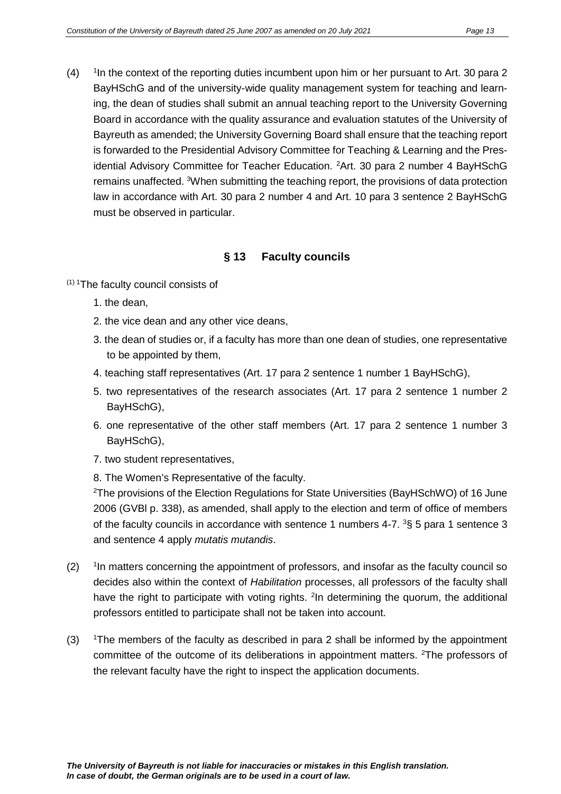$(4)$ <sup>1</sup>In the context of the reporting duties incumbent upon him or her pursuant to Art. 30 para 2 BayHSchG and of the university-wide quality management system for teaching and learning, the dean of studies shall submit an annual teaching report to the University Governing Board in accordance with the quality assurance and evaluation statutes of the University of Bayreuth as amended; the University Governing Board shall ensure that the teaching report is forwarded to the Presidential Advisory Committee for Teaching & Learning and the Presidential Advisory Committee for Teacher Education. <sup>2</sup>Art. 30 para 2 number 4 BayHSchG remains unaffected. <sup>3</sup>When submitting the teaching report, the provisions of data protection law in accordance with Art. 30 para 2 number 4 and Art. 10 para 3 sentence 2 BayHSchG must be observed in particular.

## **§ 13 Faculty councils**

 $(1)$  <sup>1</sup>The faculty council consists of

- 1. the dean,
- 2. the vice dean and any other vice deans,
- 3. the dean of studies or, if a faculty has more than one dean of studies, one representative to be appointed by them,
- 4. teaching staff representatives (Art. 17 para 2 sentence 1 number 1 BayHSchG),
- 5. two representatives of the research associates (Art. 17 para 2 sentence 1 number 2 BayHSchG),
- 6. one representative of the other staff members (Art. 17 para 2 sentence 1 number 3 BayHSchG),
- 7. two student representatives,
- 8. The Women's Representative of the faculty.

2 The provisions of the Election Regulations for State Universities (BayHSchWO) of 16 June 2006 (GVBl p. 338), as amended, shall apply to the election and term of office of members of the faculty councils in accordance with sentence 1 numbers 4-7.  ${}^{3}S$  5 para 1 sentence 3 and sentence 4 apply *mutatis mutandis*.

- $(2)$ In matters concerning the appointment of professors, and insofar as the faculty council so decides also within the context of *Habilitation* processes, all professors of the faculty shall have the right to participate with voting rights. <sup>2</sup>In determining the quorum, the additional professors entitled to participate shall not be taken into account.
- $(3)$ <sup>1</sup>The members of the faculty as described in para 2 shall be informed by the appointment committee of the outcome of its deliberations in appointment matters. <sup>2</sup>The professors of the relevant faculty have the right to inspect the application documents.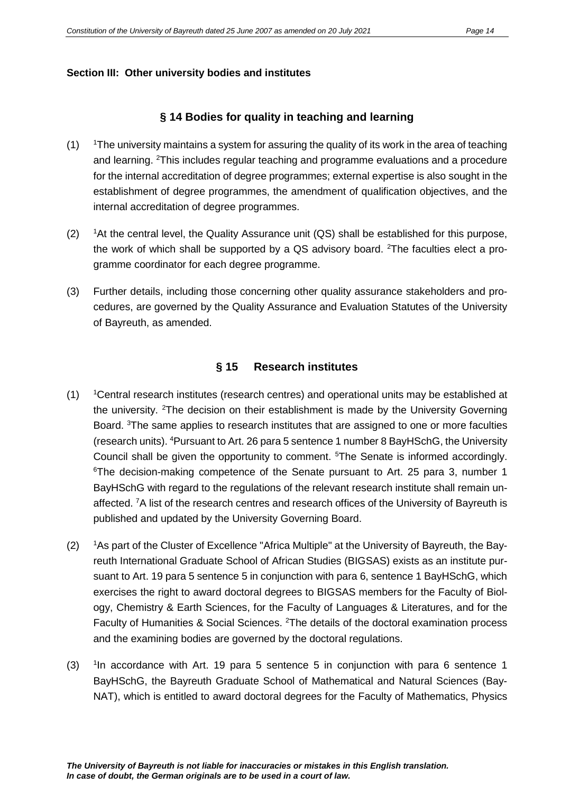#### **Section III: Other university bodies and institutes**

#### **§ 14 Bodies for quality in teaching and learning**

- $(1)$ The university maintains a system for assuring the quality of its work in the area of teaching and learning. <sup>2</sup>This includes regular teaching and programme evaluations and a procedure for the internal accreditation of degree programmes; external expertise is also sought in the establishment of degree programmes, the amendment of qualification objectives, and the internal accreditation of degree programmes.
- $(2)$ <sup>1</sup>At the central level, the Quality Assurance unit (QS) shall be established for this purpose, the work of which shall be supported by a QS advisory board. <sup>2</sup>The faculties elect a programme coordinator for each degree programme.
- (3) Further details, including those concerning other quality assurance stakeholders and procedures, are governed by the Quality Assurance and Evaluation Statutes of the University of Bayreuth, as amended.

#### **§ 15 Research institutes**

- $(1)$ Central research institutes (research centres) and operational units may be established at the university. <sup>2</sup>The decision on their establishment is made by the University Governing Board. <sup>3</sup>The same applies to research institutes that are assigned to one or more faculties (research units). <sup>4</sup>Pursuant to Art. 26 para 5 sentence 1 number 8 BayHSchG, the University Council shall be given the opportunity to comment. <sup>5</sup>The Senate is informed accordingly. 6 The decision-making competence of the Senate pursuant to Art. 25 para 3, number 1 BayHSchG with regard to the regulations of the relevant research institute shall remain unaffected. <sup>7</sup>A list of the research centres and research offices of the University of Bayreuth is published and updated by the University Governing Board.
- $(2)$ <sup>1</sup>As part of the Cluster of Excellence "Africa Multiple" at the University of Bayreuth, the Bayreuth International Graduate School of African Studies (BIGSAS) exists as an institute pursuant to Art. 19 para 5 sentence 5 in conjunction with para 6, sentence 1 BayHSchG, which exercises the right to award doctoral degrees to BIGSAS members for the Faculty of Biology, Chemistry & Earth Sciences, for the Faculty of Languages & Literatures, and for the Faculty of Humanities & Social Sciences. <sup>2</sup>The details of the doctoral examination process and the examining bodies are governed by the doctoral regulations.
- $(3)$  $1$ In accordance with Art. 19 para 5 sentence 5 in conjunction with para 6 sentence 1 BayHSchG, the Bayreuth Graduate School of Mathematical and Natural Sciences (Bay-NAT), which is entitled to award doctoral degrees for the Faculty of Mathematics, Physics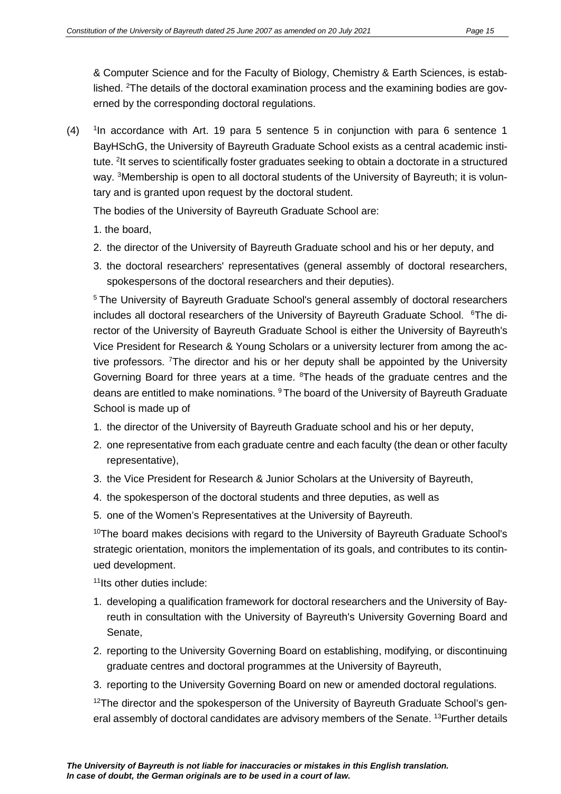& Computer Science and for the Faculty of Biology, Chemistry & Earth Sciences, is established. <sup>2</sup>The details of the doctoral examination process and the examining bodies are governed by the corresponding doctoral regulations.

 $(4)$ <sup>1</sup>In accordance with Art. 19 para 5 sentence 5 in conjunction with para 6 sentence 1 BayHSchG, the University of Bayreuth Graduate School exists as a central academic institute. <sup>2</sup>It serves to scientifically foster graduates seeking to obtain a doctorate in a structured way. <sup>3</sup>Membership is open to all doctoral students of the University of Bayreuth; it is voluntary and is granted upon request by the doctoral student.

The bodies of the University of Bayreuth Graduate School are:

- 1. the board,
- 2. the director of the University of Bayreuth Graduate school and his or her deputy, and
- 3. the doctoral researchers' representatives (general assembly of doctoral researchers, spokespersons of the doctoral researchers and their deputies).

<sup>5</sup> The University of Bayreuth Graduate School's general assembly of doctoral researchers includes all doctoral researchers of the University of Bayreuth Graduate School. <sup>6</sup>The director of the University of Bayreuth Graduate School is either the University of Bayreuth's Vice President for Research & Young Scholars or a university lecturer from among the active professors. <sup>7</sup>The director and his or her deputy shall be appointed by the University Governing Board for three years at a time. <sup>8</sup>The heads of the graduate centres and the deans are entitled to make nominations. <sup>9</sup> The board of the University of Bayreuth Graduate School is made up of

- 1. the director of the University of Bayreuth Graduate school and his or her deputy,
- 2. one representative from each graduate centre and each faculty (the dean or other faculty representative),
- 3. the Vice President for Research & Junior Scholars at the University of Bayreuth,
- 4. the spokesperson of the doctoral students and three deputies, as well as
- 5. one of the Women's Representatives at the University of Bayreuth.

<sup>10</sup>The board makes decisions with regard to the University of Bayreuth Graduate School's strategic orientation, monitors the implementation of its goals, and contributes to its continued development.

11Its other duties include:

- 1. developing a qualification framework for doctoral researchers and the University of Bayreuth in consultation with the University of Bayreuth's University Governing Board and Senate,
- 2. reporting to the University Governing Board on establishing, modifying, or discontinuing graduate centres and doctoral programmes at the University of Bayreuth,
- 3. reporting to the University Governing Board on new or amended doctoral regulations.

 $12$ The director and the spokesperson of the University of Bayreuth Graduate School's general assembly of doctoral candidates are advisory members of the Senate. <sup>13</sup>Further details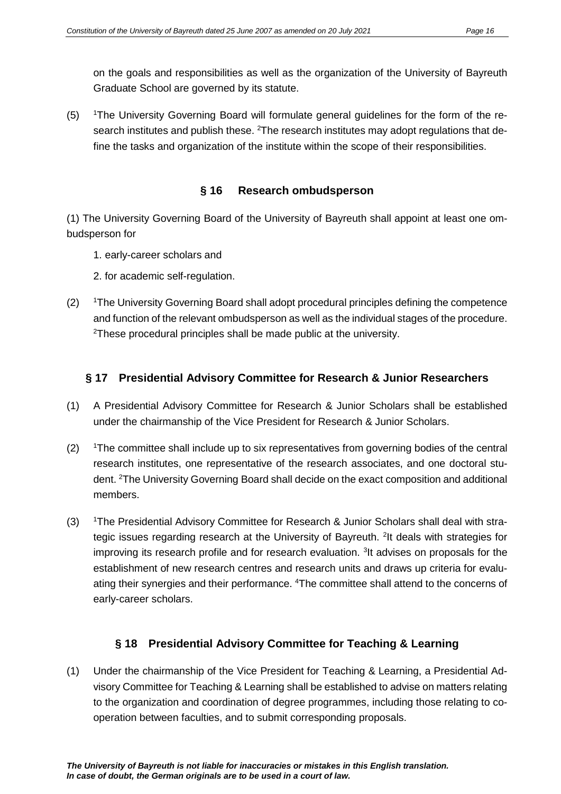on the goals and responsibilities as well as the organization of the University of Bayreuth Graduate School are governed by its statute.

 $(5)$ <sup>1</sup>The University Governing Board will formulate general guidelines for the form of the research institutes and publish these. <sup>2</sup>The research institutes may adopt regulations that define the tasks and organization of the institute within the scope of their responsibilities.

## **§ 16 Research ombudsperson**

(1) The University Governing Board of the University of Bayreuth shall appoint at least one ombudsperson for

- 1. early-career scholars and
- 2. for academic self-regulation.
- $(2)$ <sup>1</sup>The University Governing Board shall adopt procedural principles defining the competence and function of the relevant ombudsperson as well as the individual stages of the procedure.  $2$ These procedural principles shall be made public at the university.

## **§ 17 Presidential Advisory Committee for Research & Junior Researchers**

- (1) A Presidential Advisory Committee for Research & Junior Scholars shall be established under the chairmanship of the Vice President for Research & Junior Scholars.
- $(2)$ <sup>1</sup>The committee shall include up to six representatives from governing bodies of the central research institutes, one representative of the research associates, and one doctoral student. <sup>2</sup>The University Governing Board shall decide on the exact composition and additional members.
- $(3)$ The Presidential Advisory Committee for Research & Junior Scholars shall deal with strategic issues regarding research at the University of Bayreuth. <sup>2</sup>It deals with strategies for improving its research profile and for research evaluation. <sup>3</sup>It advises on proposals for the establishment of new research centres and research units and draws up criteria for evaluating their synergies and their performance. <sup>4</sup>The committee shall attend to the concerns of early-career scholars.

## **§ 18 Presidential Advisory Committee for Teaching & Learning**

(1) Under the chairmanship of the Vice President for Teaching & Learning, a Presidential Advisory Committee for Teaching & Learning shall be established to advise on matters relating to the organization and coordination of degree programmes, including those relating to cooperation between faculties, and to submit corresponding proposals.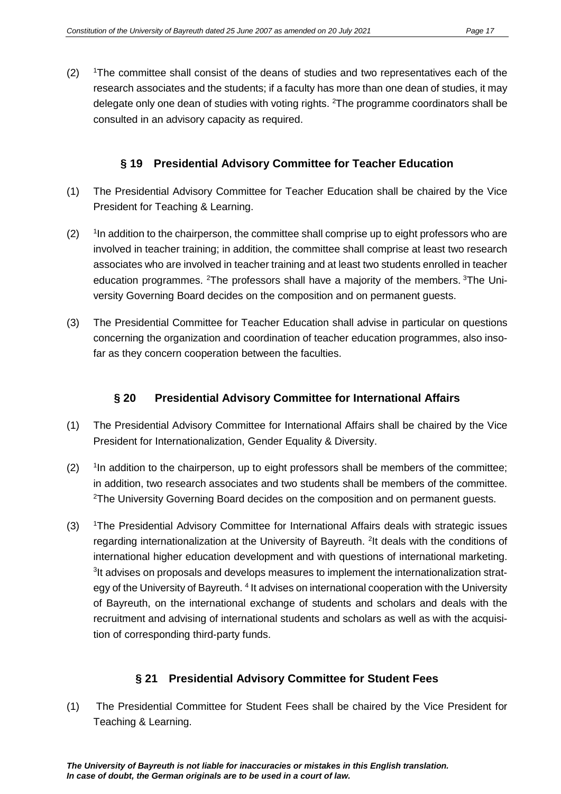$(2)$ <sup>1</sup>The committee shall consist of the deans of studies and two representatives each of the research associates and the students; if a faculty has more than one dean of studies, it may delegate only one dean of studies with voting rights. <sup>2</sup>The programme coordinators shall be consulted in an advisory capacity as required.

## **§ 19 Presidential Advisory Committee for Teacher Education**

- (1) The Presidential Advisory Committee for Teacher Education shall be chaired by the Vice President for Teaching & Learning.
- $(2)$ <sup>1</sup>In addition to the chairperson, the committee shall comprise up to eight professors who are involved in teacher training; in addition, the committee shall comprise at least two research associates who are involved in teacher training and at least two students enrolled in teacher education programmes. <sup>2</sup>The professors shall have a majority of the members. <sup>3</sup>The University Governing Board decides on the composition and on permanent guests.
- (3) The Presidential Committee for Teacher Education shall advise in particular on questions concerning the organization and coordination of teacher education programmes, also insofar as they concern cooperation between the faculties.

## **§ 20 Presidential Advisory Committee for International Affairs**

- (1) The Presidential Advisory Committee for International Affairs shall be chaired by the Vice President for Internationalization, Gender Equality & Diversity.
- $(2)$ In addition to the chairperson, up to eight professors shall be members of the committee; in addition, two research associates and two students shall be members of the committee.  $2$ The University Governing Board decides on the composition and on permanent guests.
- $(3)$ The Presidential Advisory Committee for International Affairs deals with strategic issues regarding internationalization at the University of Bayreuth. <sup>2</sup>It deals with the conditions of international higher education development and with questions of international marketing. <sup>3</sup>It advises on proposals and develops measures to implement the internationalization strategy of the University of Bayreuth. <sup>4</sup> It advises on international cooperation with the University of Bayreuth, on the international exchange of students and scholars and deals with the recruitment and advising of international students and scholars as well as with the acquisition of corresponding third-party funds.

## **§ 21 Presidential Advisory Committee for Student Fees**

(1) The Presidential Committee for Student Fees shall be chaired by the Vice President for Teaching & Learning.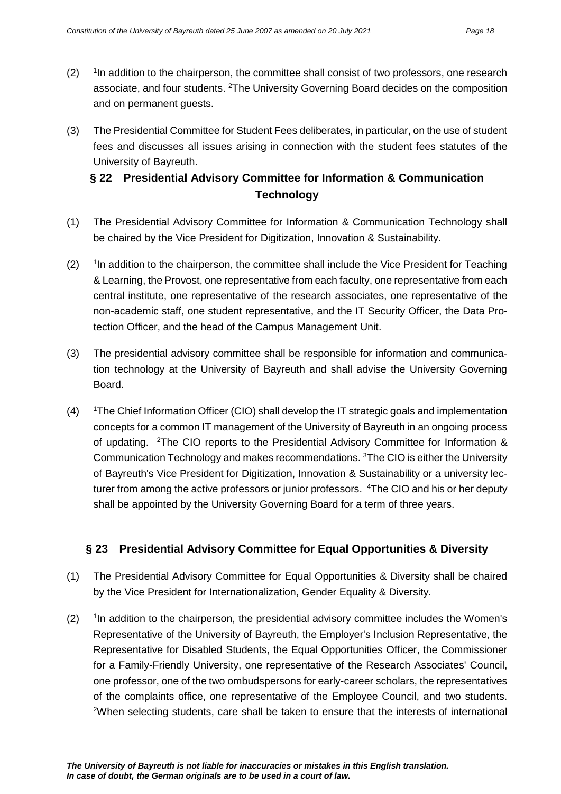- $(2)$ <sup>1</sup>In addition to the chairperson, the committee shall consist of two professors, one research associate, and four students. <sup>2</sup>The University Governing Board decides on the composition and on permanent guests.
- (3) The Presidential Committee for Student Fees deliberates, in particular, on the use of student fees and discusses all issues arising in connection with the student fees statutes of the University of Bayreuth.

## **§ 22 Presidential Advisory Committee for Information & Communication Technology**

- (1) The Presidential Advisory Committee for Information & Communication Technology shall be chaired by the Vice President for Digitization, Innovation & Sustainability.
- $(2)$ <sup>1</sup>In addition to the chairperson, the committee shall include the Vice President for Teaching & Learning, the Provost, one representative from each faculty, one representative from each central institute, one representative of the research associates, one representative of the non-academic staff, one student representative, and the IT Security Officer, the Data Protection Officer, and the head of the Campus Management Unit.
- (3) The presidential advisory committee shall be responsible for information and communication technology at the University of Bayreuth and shall advise the University Governing Board.
- $(4)$ The Chief Information Officer (CIO) shall develop the IT strategic goals and implementation concepts for a common IT management of the University of Bayreuth in an ongoing process of updating. <sup>2</sup>The CIO reports to the Presidential Advisory Committee for Information & Communication Technology and makes recommendations. <sup>3</sup>The CIO is either the University of Bayreuth's Vice President for Digitization, Innovation & Sustainability or a university lecturer from among the active professors or junior professors. <sup>4</sup>The CIO and his or her deputy shall be appointed by the University Governing Board for a term of three years.

## **§ 23 Presidential Advisory Committee for Equal Opportunities & Diversity**

- (1) The Presidential Advisory Committee for Equal Opportunities & Diversity shall be chaired by the Vice President for Internationalization, Gender Equality & Diversity.
- $(2)$ <sup>1</sup>In addition to the chairperson, the presidential advisory committee includes the Women's Representative of the University of Bayreuth, the Employer's Inclusion Representative, the Representative for Disabled Students, the Equal Opportunities Officer, the Commissioner for a Family-Friendly University, one representative of the Research Associates' Council, one professor, one of the two ombudspersons for early-career scholars, the representatives of the complaints office, one representative of the Employee Council, and two students. <sup>2</sup>When selecting students, care shall be taken to ensure that the interests of international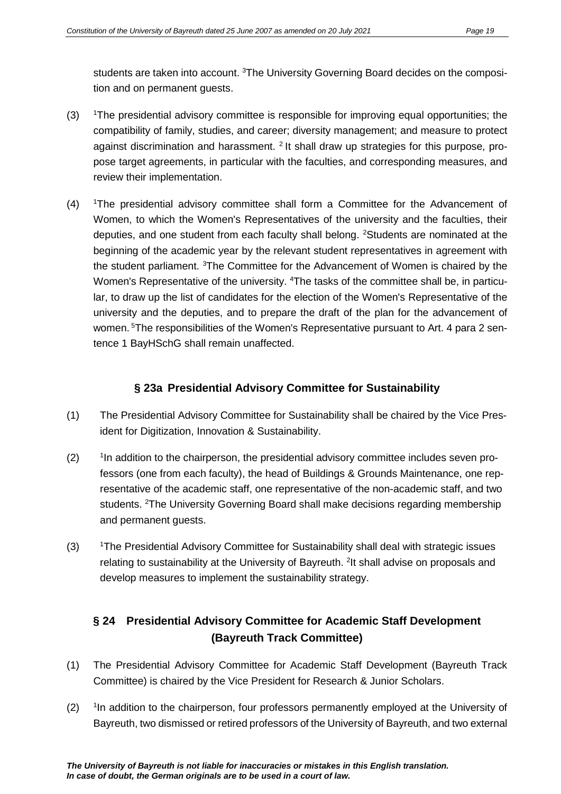students are taken into account. <sup>3</sup>The University Governing Board decides on the composition and on permanent guests.

- $(3)$ <sup>1</sup>The presidential advisory committee is responsible for improving equal opportunities; the compatibility of family, studies, and career; diversity management; and measure to protect against discrimination and harassment.  $2$  It shall draw up strategies for this purpose, propose target agreements, in particular with the faculties, and corresponding measures, and review their implementation.
- $(4)$ The presidential advisory committee shall form a Committee for the Advancement of Women, to which the Women's Representatives of the university and the faculties, their deputies, and one student from each faculty shall belong. <sup>2</sup>Students are nominated at the beginning of the academic year by the relevant student representatives in agreement with the student parliament. <sup>3</sup>The Committee for the Advancement of Women is chaired by the Women's Representative of the university. <sup>4</sup>The tasks of the committee shall be, in particular, to draw up the list of candidates for the election of the Women's Representative of the university and the deputies, and to prepare the draft of the plan for the advancement of women. <sup>5</sup>The responsibilities of the Women's Representative pursuant to Art. 4 para 2 sentence 1 BayHSchG shall remain unaffected.

## **§ 23a Presidential Advisory Committee for Sustainability**

- (1) The Presidential Advisory Committee for Sustainability shall be chaired by the Vice President for Digitization, Innovation & Sustainability.
- $(2)$ <sup>1</sup>In addition to the chairperson, the presidential advisory committee includes seven professors (one from each faculty), the head of Buildings & Grounds Maintenance, one representative of the academic staff, one representative of the non-academic staff, and two students. <sup>2</sup>The University Governing Board shall make decisions regarding membership and permanent guests.
- $(3)$ <sup>1</sup>The Presidential Advisory Committee for Sustainability shall deal with strategic issues relating to sustainability at the University of Bayreuth. <sup>2</sup>It shall advise on proposals and develop measures to implement the sustainability strategy.

## **§ 24 Presidential Advisory Committee for Academic Staff Development (Bayreuth Track Committee)**

- (1) The Presidential Advisory Committee for Academic Staff Development (Bayreuth Track Committee) is chaired by the Vice President for Research & Junior Scholars.
- $(2)$ <sup>1</sup>In addition to the chairperson, four professors permanently employed at the University of Bayreuth, two dismissed or retired professors of the University of Bayreuth, and two external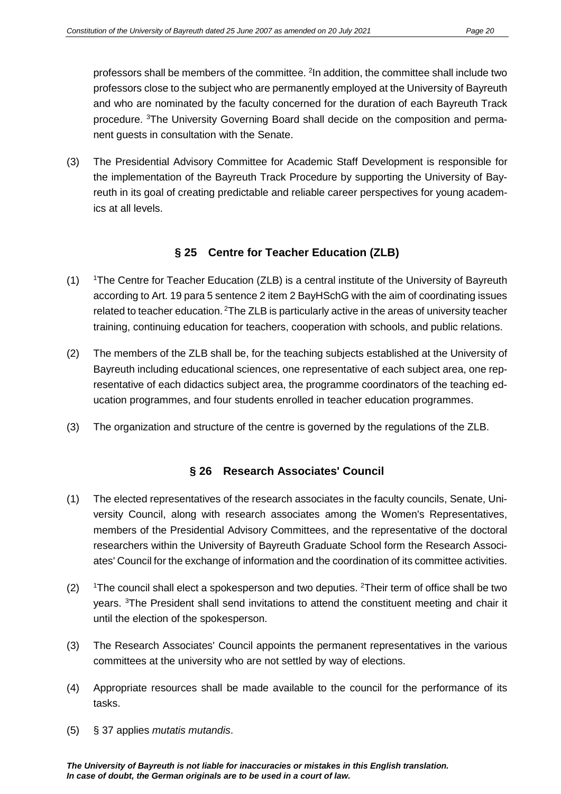professors shall be members of the committee. <sup>2</sup>In addition, the committee shall include two professors close to the subject who are permanently employed at the University of Bayreuth and who are nominated by the faculty concerned for the duration of each Bayreuth Track procedure. <sup>3</sup>The University Governing Board shall decide on the composition and permanent guests in consultation with the Senate.

(3) The Presidential Advisory Committee for Academic Staff Development is responsible for the implementation of the Bayreuth Track Procedure by supporting the University of Bayreuth in its goal of creating predictable and reliable career perspectives for young academics at all levels.

#### **§ 25 Centre for Teacher Education (ZLB)**

- $(1)$ The Centre for Teacher Education (ZLB) is a central institute of the University of Bayreuth according to Art. 19 para 5 sentence 2 item 2 BayHSchG with the aim of coordinating issues related to teacher education. <sup>2</sup>The ZLB is particularly active in the areas of university teacher training, continuing education for teachers, cooperation with schools, and public relations.
- (2) The members of the ZLB shall be, for the teaching subjects established at the University of Bayreuth including educational sciences, one representative of each subject area, one representative of each didactics subject area, the programme coordinators of the teaching education programmes, and four students enrolled in teacher education programmes.
- (3) The organization and structure of the centre is governed by the regulations of the ZLB.

## **§ 26 Research Associates' Council**

- (1) The elected representatives of the research associates in the faculty councils, Senate, University Council, along with research associates among the Women's Representatives, members of the Presidential Advisory Committees, and the representative of the doctoral researchers within the University of Bayreuth Graduate School form the Research Associates' Council for the exchange of information and the coordination of its committee activities.
- $(2)$ The council shall elect a spokesperson and two deputies. <sup>2</sup>Their term of office shall be two years. <sup>3</sup>The President shall send invitations to attend the constituent meeting and chair it until the election of the spokesperson.
- (3) The Research Associates' Council appoints the permanent representatives in the various committees at the university who are not settled by way of elections.
- (4) Appropriate resources shall be made available to the council for the performance of its tasks.
- (5) § 37 applies *mutatis mutandis*.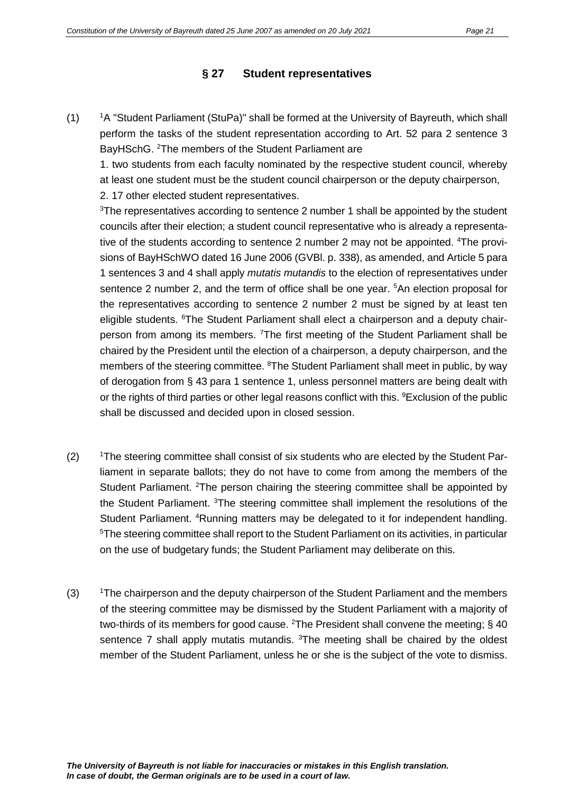## **§ 27 Student representatives**

 $(1)$ <sup>1</sup>A "Student Parliament (StuPa)" shall be formed at the University of Bayreuth, which shall perform the tasks of the student representation according to Art. 52 para 2 sentence 3 BayHSchG. <sup>2</sup>The members of the Student Parliament are

1. two students from each faculty nominated by the respective student council, whereby at least one student must be the student council chairperson or the deputy chairperson, 2. 17 other elected student representatives.

<sup>3</sup>The representatives according to sentence 2 number 1 shall be appointed by the student councils after their election; a student council representative who is already a representative of the students according to sentence 2 number 2 may not be appointed. <sup>4</sup>The provisions of BayHSchWO dated 16 June 2006 (GVBl. p. 338), as amended, and Article 5 para 1 sentences 3 and 4 shall apply *mutatis mutandis* to the election of representatives under sentence 2 number 2, and the term of office shall be one year. <sup>5</sup>An election proposal for the representatives according to sentence 2 number 2 must be signed by at least ten eligible students. <sup>6</sup>The Student Parliament shall elect a chairperson and a deputy chairperson from among its members. <sup>7</sup>The first meeting of the Student Parliament shall be chaired by the President until the election of a chairperson, a deputy chairperson, and the members of the steering committee. <sup>8</sup>The Student Parliament shall meet in public, by way of derogation from § 43 para 1 sentence 1, unless personnel matters are being dealt with or the rights of third parties or other legal reasons conflict with this. <sup>9</sup> Exclusion of the public shall be discussed and decided upon in closed session.

- $(2)$ <sup>1</sup>The steering committee shall consist of six students who are elected by the Student Parliament in separate ballots; they do not have to come from among the members of the Student Parliament. <sup>2</sup>The person chairing the steering committee shall be appointed by the Student Parliament. <sup>3</sup>The steering committee shall implement the resolutions of the Student Parliament. <sup>4</sup>Running matters may be delegated to it for independent handling. <sup>5</sup>The steering committee shall report to the Student Parliament on its activities, in particular on the use of budgetary funds; the Student Parliament may deliberate on this.
- $(3)$ <sup>1</sup>The chairperson and the deputy chairperson of the Student Parliament and the members of the steering committee may be dismissed by the Student Parliament with a majority of two-thirds of its members for good cause. <sup>2</sup>The President shall convene the meeting; § 40 sentence 7 shall apply mutatis mutandis. <sup>3</sup>The meeting shall be chaired by the oldest member of the Student Parliament, unless he or she is the subject of the vote to dismiss.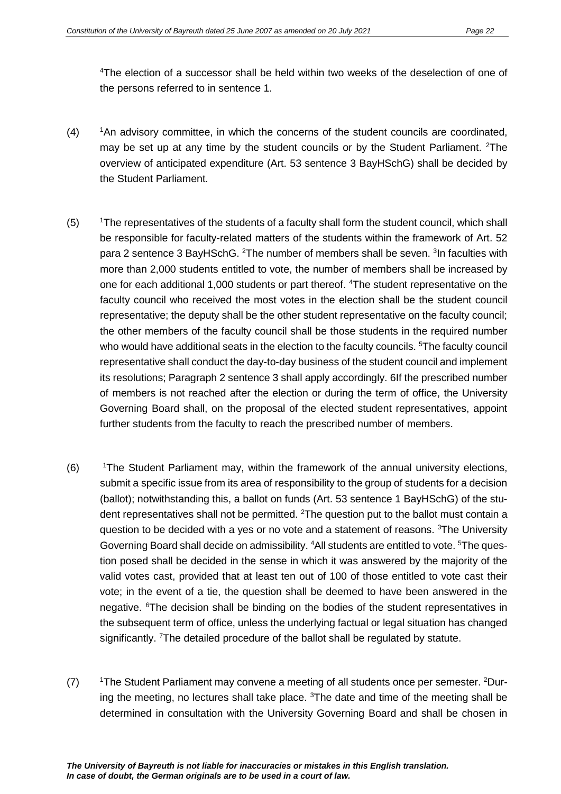4 The election of a successor shall be held within two weeks of the deselection of one of the persons referred to in sentence 1.

- $(4)$ <sup>1</sup>An advisory committee, in which the concerns of the student councils are coordinated, may be set up at any time by the student councils or by the Student Parliament. <sup>2</sup>The overview of anticipated expenditure (Art. 53 sentence 3 BayHSchG) shall be decided by the Student Parliament.
- $(5)$ <sup>1</sup>The representatives of the students of a faculty shall form the student council, which shall be responsible for faculty-related matters of the students within the framework of Art. 52 para 2 sentence 3 BayHSchG. <sup>2</sup>The number of members shall be seven. <sup>3</sup>In faculties with more than 2,000 students entitled to vote, the number of members shall be increased by one for each additional 1,000 students or part thereof. <sup>4</sup>The student representative on the faculty council who received the most votes in the election shall be the student council representative; the deputy shall be the other student representative on the faculty council; the other members of the faculty council shall be those students in the required number who would have additional seats in the election to the faculty councils. <sup>5</sup>The faculty council representative shall conduct the day-to-day business of the student council and implement its resolutions; Paragraph 2 sentence 3 shall apply accordingly. 6If the prescribed number of members is not reached after the election or during the term of office, the University Governing Board shall, on the proposal of the elected student representatives, appoint further students from the faculty to reach the prescribed number of members.
- $(6)$ The Student Parliament may, within the framework of the annual university elections, submit a specific issue from its area of responsibility to the group of students for a decision (ballot); notwithstanding this, a ballot on funds (Art. 53 sentence 1 BayHSchG) of the student representatives shall not be permitted. <sup>2</sup>The question put to the ballot must contain a question to be decided with a yes or no vote and a statement of reasons. <sup>3</sup>The University Governing Board shall decide on admissibility. <sup>4</sup>All students are entitled to vote. <sup>5</sup>The question posed shall be decided in the sense in which it was answered by the majority of the valid votes cast, provided that at least ten out of 100 of those entitled to vote cast their vote; in the event of a tie, the question shall be deemed to have been answered in the negative. <sup>6</sup>The decision shall be binding on the bodies of the student representatives in the subsequent term of office, unless the underlying factual or legal situation has changed significantly. <sup>7</sup>The detailed procedure of the ballot shall be regulated by statute.
- $(7)$ The Student Parliament may convene a meeting of all students once per semester. <sup>2</sup>During the meeting, no lectures shall take place. <sup>3</sup>The date and time of the meeting shall be determined in consultation with the University Governing Board and shall be chosen in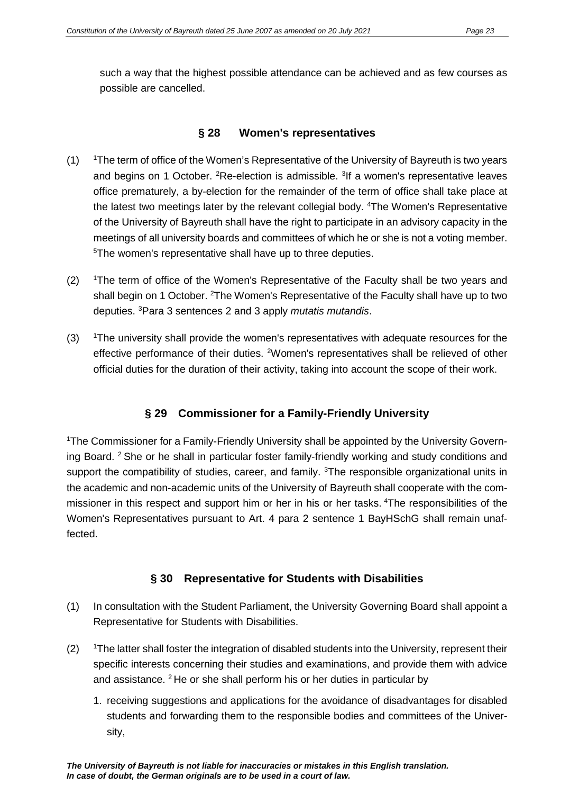such a way that the highest possible attendance can be achieved and as few courses as possible are cancelled.

#### **§ 28 Women's representatives**

- $(1)$ The term of office of the Women's Representative of the University of Bayreuth is two years and begins on 1 October. <sup>2</sup>Re-election is admissible. <sup>3</sup>If a women's representative leaves office prematurely, a by-election for the remainder of the term of office shall take place at the latest two meetings later by the relevant collegial body. <sup>4</sup>The Women's Representative of the University of Bayreuth shall have the right to participate in an advisory capacity in the meetings of all university boards and committees of which he or she is not a voting member. 5 The women's representative shall have up to three deputies.
- $(2)$ The term of office of the Women's Representative of the Faculty shall be two years and shall begin on 1 October. <sup>2</sup>The Women's Representative of the Faculty shall have up to two deputies. 3 Para 3 sentences 2 and 3 apply *mutatis mutandis*.
- $(3)$ The university shall provide the women's representatives with adequate resources for the effective performance of their duties. <sup>2</sup>Women's representatives shall be relieved of other official duties for the duration of their activity, taking into account the scope of their work.

## **§ 29 Commissioner for a Family-Friendly University**

1 The Commissioner for a Family-Friendly University shall be appointed by the University Governing Board. <sup>2</sup> She or he shall in particular foster family-friendly working and study conditions and support the compatibility of studies, career, and family. <sup>3</sup>The responsible organizational units in the academic and non-academic units of the University of Bayreuth shall cooperate with the commissioner in this respect and support him or her in his or her tasks. <sup>4</sup>The responsibilities of the Women's Representatives pursuant to Art. 4 para 2 sentence 1 BayHSchG shall remain unaffected.

#### **§ 30 Representative for Students with Disabilities**

- (1) In consultation with the Student Parliament, the University Governing Board shall appoint a Representative for Students with Disabilities.
- $(2)$ <sup>1</sup>The latter shall foster the integration of disabled students into the University, represent their specific interests concerning their studies and examinations, and provide them with advice and assistance.  $2$  He or she shall perform his or her duties in particular by
	- 1. receiving suggestions and applications for the avoidance of disadvantages for disabled students and forwarding them to the responsible bodies and committees of the University,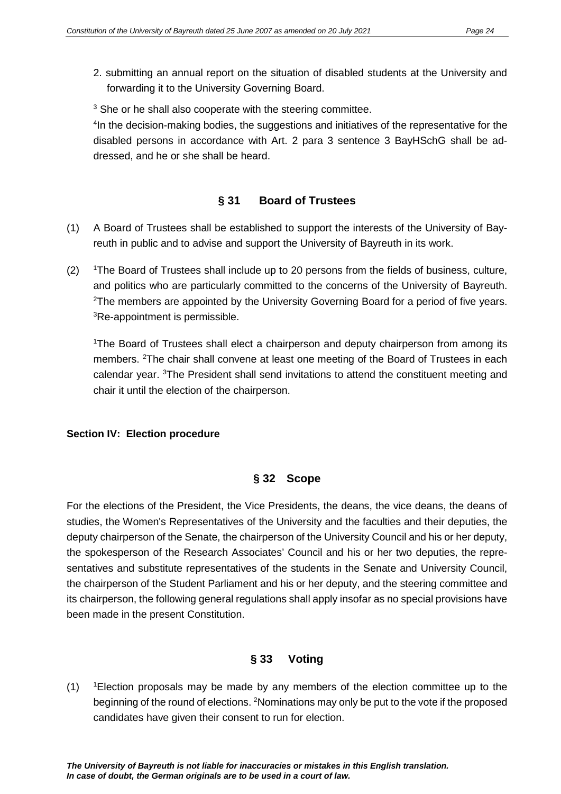- 2. submitting an annual report on the situation of disabled students at the University and forwarding it to the University Governing Board.
- <sup>3</sup> She or he shall also cooperate with the steering committee.

<sup>4</sup>In the decision-making bodies, the suggestions and initiatives of the representative for the disabled persons in accordance with Art. 2 para 3 sentence 3 BayHSchG shall be addressed, and he or she shall be heard.

## **§ 31 Board of Trustees**

- (1) A Board of Trustees shall be established to support the interests of the University of Bayreuth in public and to advise and support the University of Bayreuth in its work.
- $(2)$ <sup>1</sup>The Board of Trustees shall include up to 20 persons from the fields of business, culture, and politics who are particularly committed to the concerns of the University of Bayreuth. <sup>2</sup>The members are appointed by the University Governing Board for a period of five years. <sup>3</sup>Re-appointment is permissible.

<sup>1</sup>The Board of Trustees shall elect a chairperson and deputy chairperson from among its members. <sup>2</sup>The chair shall convene at least one meeting of the Board of Trustees in each calendar year. <sup>3</sup>The President shall send invitations to attend the constituent meeting and chair it until the election of the chairperson.

#### **Section IV: Election procedure**

## **§ 32 Scope**

For the elections of the President, the Vice Presidents, the deans, the vice deans, the deans of studies, the Women's Representatives of the University and the faculties and their deputies, the deputy chairperson of the Senate, the chairperson of the University Council and his or her deputy, the spokesperson of the Research Associates' Council and his or her two deputies, the representatives and substitute representatives of the students in the Senate and University Council, the chairperson of the Student Parliament and his or her deputy, and the steering committee and its chairperson, the following general regulations shall apply insofar as no special provisions have been made in the present Constitution.

## **§ 33 Voting**

 $(1)$ Election proposals may be made by any members of the election committee up to the beginning of the round of elections. <sup>2</sup>Nominations may only be put to the vote if the proposed candidates have given their consent to run for election.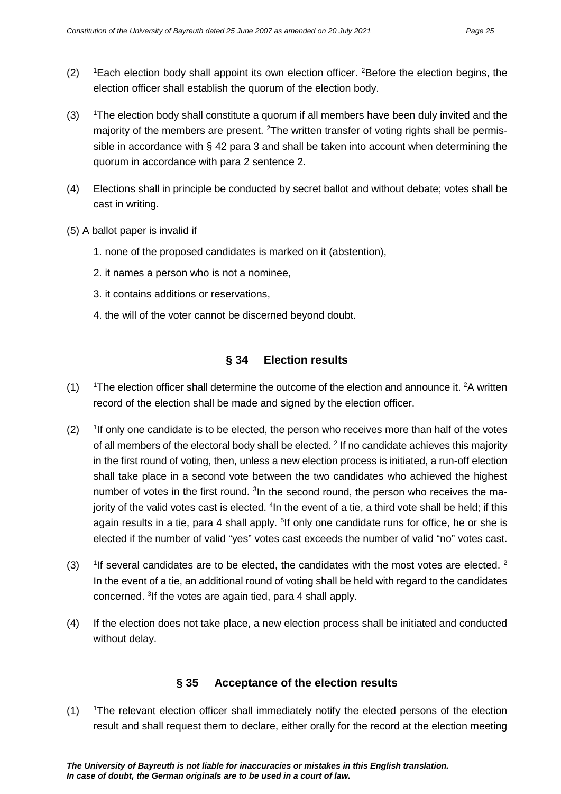- $(2)$ Each election body shall appoint its own election officer. <sup>2</sup>Before the election begins, the election officer shall establish the quorum of the election body.
- $(3)$ The election body shall constitute a quorum if all members have been duly invited and the majority of the members are present. <sup>2</sup>The written transfer of voting rights shall be permissible in accordance with § 42 para 3 and shall be taken into account when determining the quorum in accordance with para 2 sentence 2.
- (4) Elections shall in principle be conducted by secret ballot and without debate; votes shall be cast in writing.
- (5) A ballot paper is invalid if
	- 1. none of the proposed candidates is marked on it (abstention),
	- 2. it names a person who is not a nominee,
	- 3. it contains additions or reservations,
	- 4. the will of the voter cannot be discerned beyond doubt.

## **§ 34 Election results**

- $(1)$ The election officer shall determine the outcome of the election and announce it.  $2A$  written record of the election shall be made and signed by the election officer.
- $(2)$ <sup>1</sup>If only one candidate is to be elected, the person who receives more than half of the votes of all members of the electoral body shall be elected.  $2$  If no candidate achieves this majority in the first round of voting, then, unless a new election process is initiated, a run-off election shall take place in a second vote between the two candidates who achieved the highest number of votes in the first round. <sup>3</sup> In the second round, the person who receives the majority of the valid votes cast is elected. <sup>4</sup>In the event of a tie, a third vote shall be held; if this again results in a tie, para 4 shall apply. <sup>5</sup>If only one candidate runs for office, he or she is elected if the number of valid "yes" votes cast exceeds the number of valid "no" votes cast.
- $(3)$ <sup>1</sup>If several candidates are to be elected, the candidates with the most votes are elected.  $2$ In the event of a tie, an additional round of voting shall be held with regard to the candidates concerned. <sup>3</sup>If the votes are again tied, para 4 shall apply.
- (4) If the election does not take place, a new election process shall be initiated and conducted without delay.

## **§ 35 Acceptance of the election results**

 $(1)$ <sup>1</sup>The relevant election officer shall immediately notify the elected persons of the election result and shall request them to declare, either orally for the record at the election meeting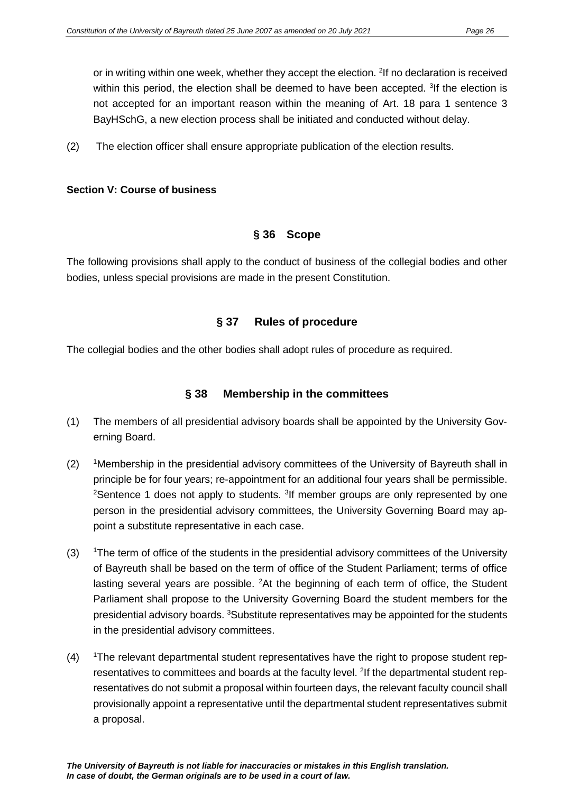or in writing within one week, whether they accept the election. <sup>2</sup>If no declaration is received within this period, the election shall be deemed to have been accepted. <sup>3</sup>If the election is not accepted for an important reason within the meaning of Art. 18 para 1 sentence 3 BayHSchG, a new election process shall be initiated and conducted without delay.

(2) The election officer shall ensure appropriate publication of the election results.

#### **Section V: Course of business**

#### **§ 36 Scope**

The following provisions shall apply to the conduct of business of the collegial bodies and other bodies, unless special provisions are made in the present Constitution.

#### **§ 37 Rules of procedure**

The collegial bodies and the other bodies shall adopt rules of procedure as required.

#### **§ 38 Membership in the committees**

- (1) The members of all presidential advisory boards shall be appointed by the University Governing Board.
- (2) 1Membership in the presidential advisory committees of the University of Bayreuth shall in principle be for four years; re-appointment for an additional four years shall be permissible. <sup>2</sup>Sentence 1 does not apply to students. <sup>3</sup>If member groups are only represented by one person in the presidential advisory committees, the University Governing Board may appoint a substitute representative in each case.
- $(3)$ <sup>1</sup>The term of office of the students in the presidential advisory committees of the University of Bayreuth shall be based on the term of office of the Student Parliament; terms of office lasting several years are possible. <sup>2</sup>At the beginning of each term of office, the Student Parliament shall propose to the University Governing Board the student members for the presidential advisory boards. <sup>3</sup>Substitute representatives may be appointed for the students in the presidential advisory committees.
- $(4)$ The relevant departmental student representatives have the right to propose student representatives to committees and boards at the faculty level. <sup>2</sup>If the departmental student representatives do not submit a proposal within fourteen days, the relevant faculty council shall provisionally appoint a representative until the departmental student representatives submit a proposal.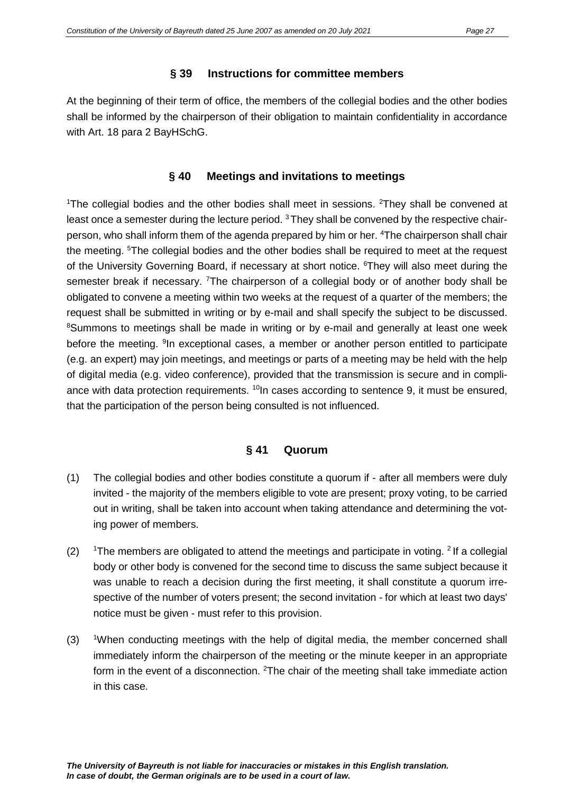#### **§ 39 Instructions for committee members**

At the beginning of their term of office, the members of the collegial bodies and the other bodies shall be informed by the chairperson of their obligation to maintain confidentiality in accordance with Art. 18 para 2 BayHSchG.

## **§ 40 Meetings and invitations to meetings**

<sup>1</sup>The collegial bodies and the other bodies shall meet in sessions. <sup>2</sup>They shall be convened at least once a semester during the lecture period.  $3$  They shall be convened by the respective chairperson, who shall inform them of the agenda prepared by him or her. <sup>4</sup>The chairperson shall chair the meeting. <sup>5</sup>The collegial bodies and the other bodies shall be required to meet at the request of the University Governing Board, if necessary at short notice. <sup>6</sup>They will also meet during the semester break if necessary. <sup>7</sup>The chairperson of a collegial body or of another body shall be obligated to convene a meeting within two weeks at the request of a quarter of the members; the request shall be submitted in writing or by e-mail and shall specify the subject to be discussed. <sup>8</sup>Summons to meetings shall be made in writing or by e-mail and generally at least one week before the meeting. <sup>9</sup>In exceptional cases, a member or another person entitled to participate (e.g. an expert) may join meetings, and meetings or parts of a meeting may be held with the help of digital media (e.g. video conference), provided that the transmission is secure and in compliance with data protection requirements.  $10$ In cases according to sentence 9, it must be ensured, that the participation of the person being consulted is not influenced.

## **§ 41 Quorum**

- (1) The collegial bodies and other bodies constitute a quorum if after all members were duly invited - the majority of the members eligible to vote are present; proxy voting, to be carried out in writing, shall be taken into account when taking attendance and determining the voting power of members.
- $(2)$ <sup>1</sup>The members are obligated to attend the meetings and participate in voting.  $2$  If a collegial body or other body is convened for the second time to discuss the same subject because it was unable to reach a decision during the first meeting, it shall constitute a quorum irrespective of the number of voters present; the second invitation *-* for which at least two days' notice must be given - must refer to this provision.
- $(3)$ When conducting meetings with the help of digital media, the member concerned shall immediately inform the chairperson of the meeting or the minute keeper in an appropriate form in the event of a disconnection. <sup>2</sup>The chair of the meeting shall take immediate action in this case.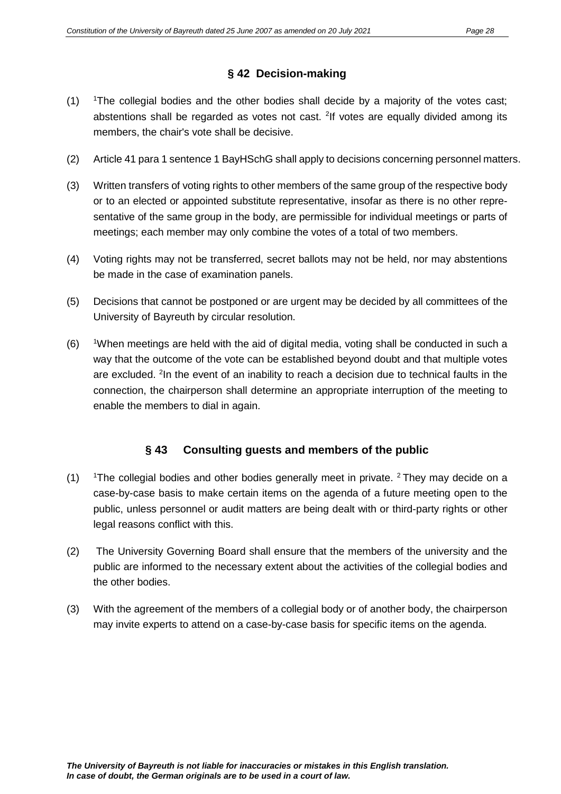## **§ 42 Decision-making**

- $(1)$ The collegial bodies and the other bodies shall decide by a majority of the votes cast; abstentions shall be regarded as votes not cast. <sup>2</sup>If votes are equally divided among its members, the chair's vote shall be decisive.
- (2) Article 41 para 1 sentence 1 BayHSchG shall apply to decisions concerning personnel matters.
- (3) Written transfers of voting rights to other members of the same group of the respective body or to an elected or appointed substitute representative, insofar as there is no other representative of the same group in the body, are permissible for individual meetings or parts of meetings; each member may only combine the votes of a total of two members.
- (4) Voting rights may not be transferred, secret ballots may not be held, nor may abstentions be made in the case of examination panels.
- (5) Decisions that cannot be postponed or are urgent may be decided by all committees of the University of Bayreuth by circular resolution.
- $(6)$ When meetings are held with the aid of digital media, voting shall be conducted in such a way that the outcome of the vote can be established beyond doubt and that multiple votes are excluded. <sup>2</sup>In the event of an inability to reach a decision due to technical faults in the connection, the chairperson shall determine an appropriate interruption of the meeting to enable the members to dial in again.

## **§ 43 Consulting guests and members of the public**

- $(1)$ <sup>1</sup>The collegial bodies and other bodies generally meet in private.  $2$  They may decide on a case-by-case basis to make certain items on the agenda of a future meeting open to the public, unless personnel or audit matters are being dealt with or third-party rights or other legal reasons conflict with this.
- (2) The University Governing Board shall ensure that the members of the university and the public are informed to the necessary extent about the activities of the collegial bodies and the other bodies.
- (3) With the agreement of the members of a collegial body or of another body, the chairperson may invite experts to attend on a case-by-case basis for specific items on the agenda.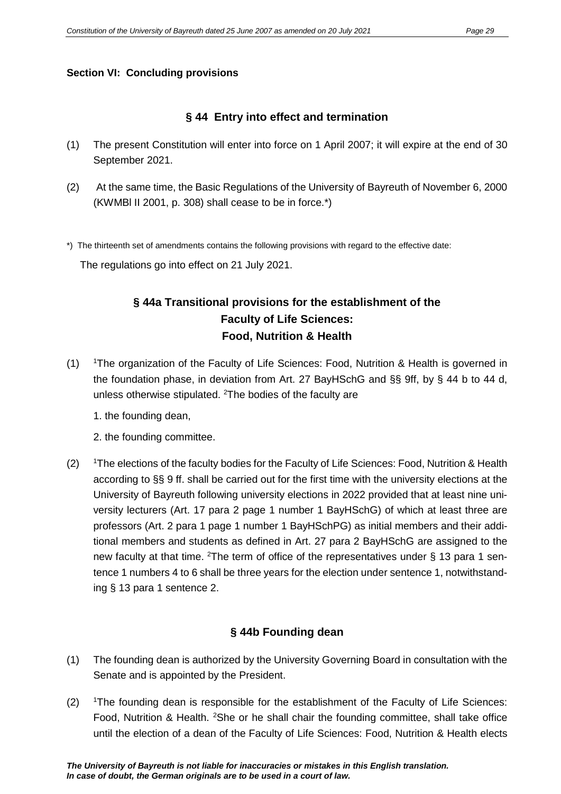#### **Section VI: Concluding provisions**

#### **§ 44 Entry into effect and termination**

- (1) The present Constitution will enter into force on 1 April 2007; it will expire at the end of 30 September 2021.
- (2) At the same time, the Basic Regulations of the University of Bayreuth of November 6, 2000 (KWMBl II 2001, p. 308) shall cease to be in force.\*)

\*) The thirteenth set of amendments contains the following provisions with regard to the effective date:

The regulations go into effect on 21 July 2021.

## **§ 44a Transitional provisions for the establishment of the Faculty of Life Sciences: Food, Nutrition & Health**

 $(1)$ <sup>1</sup>The organization of the Faculty of Life Sciences: Food, Nutrition & Health is governed in the foundation phase, in deviation from Art. 27 BayHSchG and §§ 9ff, by § 44 b to 44 d, unless otherwise stipulated. <sup>2</sup>The bodies of the faculty are

1. the founding dean,

2. the founding committee.

 $(2)$ <sup>1</sup>The elections of the faculty bodies for the Faculty of Life Sciences: Food, Nutrition & Health according to §§ 9 ff. shall be carried out for the first time with the university elections at the University of Bayreuth following university elections in 2022 provided that at least nine university lecturers (Art. 17 para 2 page 1 number 1 BayHSchG) of which at least three are professors (Art. 2 para 1 page 1 number 1 BayHSchPG) as initial members and their additional members and students as defined in Art. 27 para 2 BayHSchG are assigned to the new faculty at that time. <sup>2</sup>The term of office of the representatives under § 13 para 1 sentence 1 numbers 4 to 6 shall be three years for the election under sentence 1, notwithstanding § 13 para 1 sentence 2.

## **§ 44b Founding dean**

- (1) The founding dean is authorized by the University Governing Board in consultation with the Senate and is appointed by the President.
- $(2)$ The founding dean is responsible for the establishment of the Faculty of Life Sciences: Food, Nutrition & Health. <sup>2</sup>She or he shall chair the founding committee, shall take office until the election of a dean of the Faculty of Life Sciences: Food, Nutrition & Health elects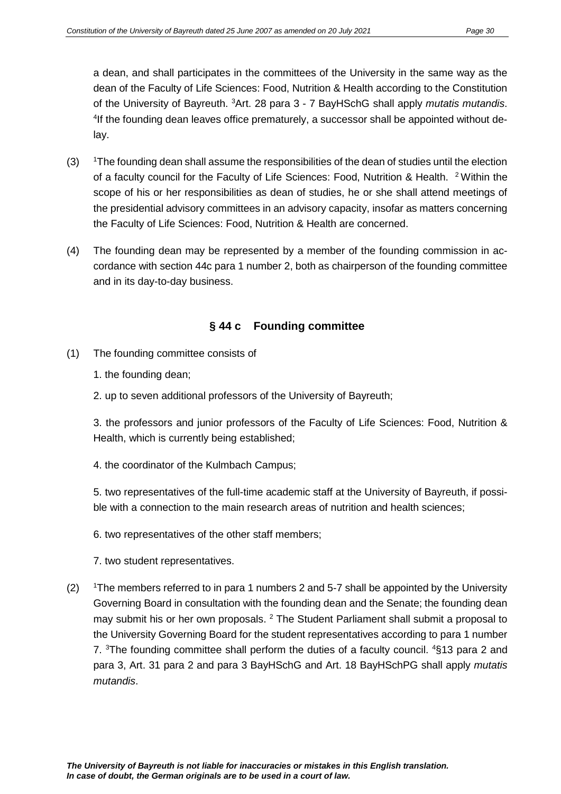a dean, and shall participates in the committees of the University in the same way as the dean of the Faculty of Life Sciences: Food, Nutrition & Health according to the Constitution of the University of Bayreuth. <sup>3</sup>Art. 28 para 3 - 7 BayHSchG shall apply *mutatis mutandis*. <sup>4</sup>If the founding dean leaves office prematurely, a successor shall be appointed without delay.

- $(3)$ The founding dean shall assume the responsibilities of the dean of studies until the election of a faculty council for the Faculty of Life Sciences: Food, Nutrition & Health. 2 Within the scope of his or her responsibilities as dean of studies, he or she shall attend meetings of the presidential advisory committees in an advisory capacity, insofar as matters concerning the Faculty of Life Sciences: Food, Nutrition & Health are concerned.
- (4) The founding dean may be represented by a member of the founding commission in accordance with section 44c para 1 number 2, both as chairperson of the founding committee and in its day-to-day business.

## **§ 44 c Founding committee**

- (1) The founding committee consists of
	- 1. the founding dean;
	- 2. up to seven additional professors of the University of Bayreuth;

3. the professors and junior professors of the Faculty of Life Sciences: Food, Nutrition & Health, which is currently being established;

4. the coordinator of the Kulmbach Campus;

5. two representatives of the full-time academic staff at the University of Bayreuth, if possible with a connection to the main research areas of nutrition and health sciences;

6. two representatives of the other staff members;

7. two student representatives.

 $(2)$ <sup>1</sup>The members referred to in para 1 numbers 2 and 5-7 shall be appointed by the University Governing Board in consultation with the founding dean and the Senate; the founding dean may submit his or her own proposals. <sup>2</sup> The Student Parliament shall submit a proposal to the University Governing Board for the student representatives according to para 1 number 7. <sup>3</sup>The founding committee shall perform the duties of a faculty council. <sup>4</sup>§13 para 2 and para 3, Art. 31 para 2 and para 3 BayHSchG and Art. 18 BayHSchPG shall apply *mutatis mutandis*.